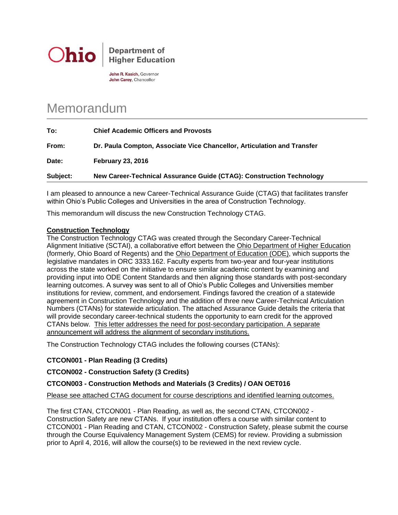

**Department of Higher Education** 

John R. Kasich, Governor John Carey, Chancellor

# Memorandum

| To:      | <b>Chief Academic Officers and Provosts</b>                             |
|----------|-------------------------------------------------------------------------|
| From:    | Dr. Paula Compton, Associate Vice Chancellor, Articulation and Transfer |
| Date:    | <b>February 23, 2016</b>                                                |
| Subject: | New Career-Technical Assurance Guide (CTAG): Construction Technology    |

I am pleased to announce a new Career-Technical Assurance Guide (CTAG) that facilitates transfer within Ohio's Public Colleges and Universities in the area of Construction Technology.

This memorandum will discuss the new Construction Technology CTAG.

### **Construction Technology**

The Construction Technology CTAG was created through the Secondary Career-Technical Alignment Initiative (SCTAI), a collaborative effort between the Ohio Department of Higher Education (formerly, Ohio Board of Regents) and the Ohio Department of Education (ODE), which supports the legislative mandates in ORC 3333.162. Faculty experts from two-year and four-year institutions across the state worked on the initiative to ensure similar academic content by examining and providing input into ODE Content Standards and then aligning those standards with post-secondary learning outcomes. A survey was sent to all of Ohio's Public Colleges and Universities member institutions for review, comment, and endorsement. Findings favored the creation of a statewide agreement in Construction Technology and the addition of three new Career-Technical Articulation Numbers (CTANs) for statewide articulation. The attached Assurance Guide details the criteria that will provide secondary career-technical students the opportunity to earn credit for the approved CTANs below. This letter addresses the need for post-secondary participation. A separate announcement will address the alignment of secondary institutions.

The Construction Technology CTAG includes the following courses (CTANs):

## **CTCON001 - Plan Reading (3 Credits)**

## **CTCON002 - Construction Safety (3 Credits)**

## **CTCON003 - Construction Methods and Materials (3 Credits) / OAN OET016**

Please see attached CTAG document for course descriptions and identified learning outcomes.

The first CTAN, CTCON001 - Plan Reading, as well as, the second CTAN, CTCON002 - Construction Safety are new CTANs. If your institution offers a course with similar content to CTCON001 - Plan Reading and CTAN, CTCON002 - Construction Safety, please submit the course through the Course Equivalency Management System (CEMS) for review. Providing a submission prior to April 4, 2016, will allow the course(s) to be reviewed in the next review cycle.